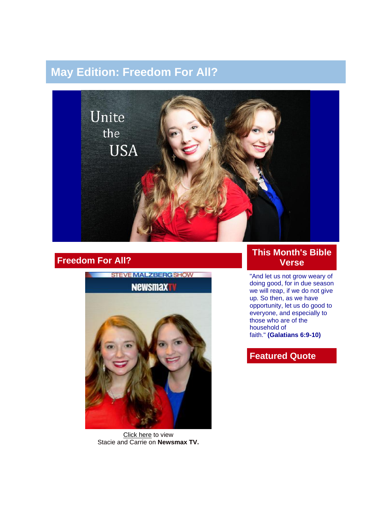# **May Edition: Freedom For All?**



# **Freedom For All?**



[Click](http://www.newsmaxtv.com/cmspages/newsmax/handlers/liveshow.ashx?operation=ShowPastVideo&embedCode=Y5bzZ1bTpTmHCHgEcogMiEa-4sJgpiOY#ooid=Y5bzZ1bTpTmHCHgEcogMiEa-4sJgpiOY) here to view Stacie and Carrie on **Newsmax TV.**

#### **This Month's Bible Verse**

"And let us not grow weary of doing good, for in due season we will reap, if we do not give up. So then, as we have opportunity, let us do good to everyone, and especially to those who are of the household of faith." **(Galatians 6:9-10)**

# **Featured Quote**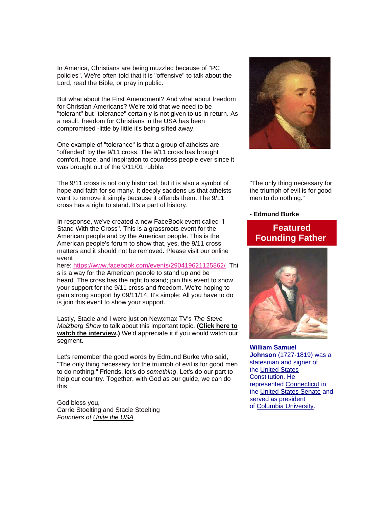In America, Christians are being muzzled because of "PC policies". We're often told that it is "offensive" to talk about the Lord, read the Bible, or pray in public.

But what about the First Amendment? And what about freedom for Christian Americans? We're told that we need to be "tolerant" but "tolerance" certainly is not given to us in return. As a result, freedom for Christians in the USA has been compromised -little by little it's being sifted away.

One example of "tolerance" is that a group of atheists are "offended" by the 9/11 cross. The 9/11 cross has brought comfort, hope, and inspiration to countless people ever since it was brought out of the 9/11/01 rubble.

The 9/11 cross is not only historical, but it is also a symbol of hope and faith for so many. It deeply saddens us that atheists want to remove it simply because it offends them. The 9/11 cross has a right to stand. It's a part of history.

In response, we've created a new FaceBook event called "I Stand With the Cross". This is a grassroots event for the American people and by the American people. This is the American people's forum to show that, yes, the 9/11 cross matters and it should not be removed. Please visit our online event

here: [https://www.facebook.com/events/290419621125862/](http://r20.rs6.net/tn.jsp?e=001Imquik34RPpei-XPd-6-wgJWiszOO9ctpWufEMr3Jgkl-UepeNsbIBRB9mbwQPjkn4zZQI6toxU4ngetF50sEvUH-ReNi4ml0-rx8c-jHJmWommd3xyU6hfOHAObgORye4lbLQiVM9T88bQECSAwZg==) Thi s is a way for the American people to stand up and be heard. The cross has the right to stand; join this event to show your support for the 9/11 cross and freedom. We're hoping to gain strong support by 09/11/14. It's simple: All you have to do is join this event to show your support.

Lastly, Stacie and I were just on Newxmax TV's *The Steve Malzberg Show* to talk about this important topic. **[\(Click here](http://www.newsmaxtv.com/cmspages/newsmax/handlers/liveshow.ashx?operation=ShowPastVideo&embedCode=Y5bzZ1bTpTmHCHgEcogMiEa-4sJgpiOY#ooid=Y5bzZ1bTpTmHCHgEcogMiEa-4sJgpiOY) to [watch the interview.](http://www.newsmaxtv.com/cmspages/newsmax/handlers/liveshow.ashx?operation=ShowPastVideo&embedCode=Y5bzZ1bTpTmHCHgEcogMiEa-4sJgpiOY#ooid=Y5bzZ1bTpTmHCHgEcogMiEa-4sJgpiOY))** We'd appreciate it if you would watch our segment.

Let's remember the good words by Edmund Burke who said, "The only thing necessary for the triumph of evil is for good men to do nothing." Friends, let's do *something*. Let's do our part to help our country. Together, with God as our guide, we can do this.

God bless you, Carrie Stoelting and Stacie Stoelting *Founders of [Unite the USA](http://unitetheusa.org/index.html)*



"The only thing necessary for the triumph of evil is for good men to do nothing."

**- Edmund Burke**

## **Featured Founding Father**



**William Samuel Johnson** (1727-1819) was a statesman and signer of the [United States](http://unitetheusa.org/id114.html)  [Constitution.](http://unitetheusa.org/id114.html) He represented [Connecticut](http://unitetheusa.org/id114.html) in the [United States Senate](http://unitetheusa.org/id114.html) and served as president of [Columbia University.](http://unitetheusa.org/id114.html)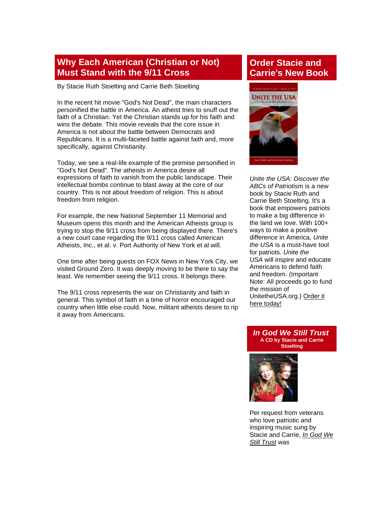#### **Why Each American (Christian or Not) Must Stand with the 9/11 Cross**

By Stacie Ruth Stoelting and Carrie Beth Stoelting

In the recent hit movie "God's Not Dead", the main characters personified the battle in America. An atheist tries to snuff out the faith of a Christian. Yet the Christian stands up for his faith and wins the debate. This movie reveals that the core issue in America is not about the battle between Democrats and Republicans. It is a multi-faceted battle against faith and, more specifically, against Christianity.

Today, we see a real-life example of the premise personified in "God's Not Dead". The atheists in America desire all expressions of faith to vanish from the public landscape. Their intellectual bombs continue to blast away at the core of our country. This is not about freedom of religion. This is about freedom from religion.

For example, the new National September 11 Memorial and Museum opens this month and the American Atheists group is trying to stop the 9/11 cross from being displayed there. There's a new court case regarding the 9/11 cross called American Atheists, Inc., et al. v. Port Authority of New York et al will.

One time after being guests on FOX News in New York City, we visited Ground Zero. It was deeply moving to be there to say the least. We remember seeing the 9/11 cross. It belongs there.

The 9/11 cross represents the war on Christianity and faith in general. This symbol of faith in a time of horror encouraged our country when little else could. Now, militant atheists desire to rip it away from Americans.

# **Order Stacie and Carrie's New Book**



*Unite the USA: Discover the ABCs of Patriotism* is a new book by Stacie Ruth and Carrie Beth Stoelting. It's a book that empowers patriots to make a big difference in the land we love. With 100+ ways to make a positive difference in America, *Unite the USA* is a must-have tool for patriots. *Unite the USA* will inspire and educate Americans to defend faith and freedom. (Important Note: All proceeds go to fund the mission of UnitetheUSA.org.) [Order it](http://unitetheusa.org/id56.html)  [here today!](http://unitetheusa.org/id56.html)

*In God We Still Trust* **A CD by Stacie and Carrie Stoelting**



Per request from veterans who love patriotic and inspiring music sung by Stacie and Carrie, *[In God We](http://unitetheusa.org/id56.html)  [Still Trust](http://unitetheusa.org/id56.html)* was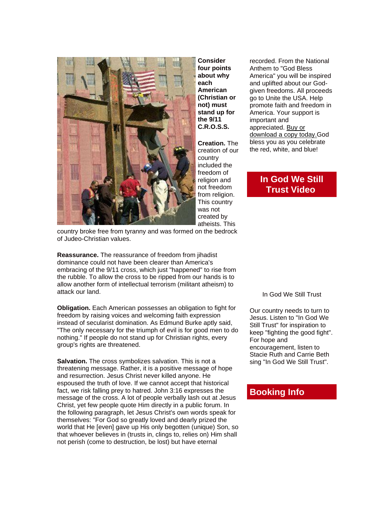

**Consider four points about why each American (Christian or not) must stand up for the 9/11 C.R.O.S.S.**

**Creation.** The creation of our country included the freedom of religion and not freedom from religion. This country was not created by atheists. This

recorded. From the National Anthem to "God Bless America" you will be inspired and uplifted about our Godgiven freedoms. All proceeds go to Unite the USA. Help promote faith and freedom in America. Your support is important and appreciated. [Buy or](http://unitetheusa.org/id56.html)  [download a copy today.G](http://unitetheusa.org/id56.html)od bless you as you celebrate the red, white, and blue!

### **In God We Still Trust Video**

country broke free from tyranny and was formed on the bedrock of Judeo-Christian values.

**Reassurance.** The reassurance of freedom from jihadist dominance could not have been clearer than America's embracing of the 9/11 cross, which just "happened" to rise from the rubble. To allow the cross to be ripped from our hands is to allow another form of intellectual terrorism (militant atheism) to attack our land.

**Obligation.** Each American possesses an obligation to fight for freedom by raising voices and welcoming faith expression instead of secularist domination. As Edmund Burke aptly said, "The only necessary for the triumph of evil is for good men to do nothing." If people do not stand up for Christian rights, every group's rights are threatened.

**Salvation.** The cross symbolizes salvation. This is not a threatening message. Rather, it is a positive message of hope and resurrection. Jesus Christ never killed anyone. He espoused the truth of love. If we cannot accept that historical fact, we risk falling prey to hatred. John 3:16 expresses the message of the cross. A lot of people verbally lash out at Jesus Christ, yet few people quote Him directly in a public forum. In the following paragraph, let Jesus Christ's own words speak for themselves: "For God so greatly loved and dearly prized the world that He [even] gave up His only begotten (unique) Son, so that whoever believes in (trusts in, clings to, relies on) Him shall not perish (come to destruction, be lost) but have eternal

In God We Still Trust

Our country needs to turn to Jesus. Listen to "In God We Still Trust" for inspiration to keep "fighting the good fight". For hope and encouragement, listen to Stacie Ruth and Carrie Beth sing "In God We Still Trust".

#### **Booking Info**